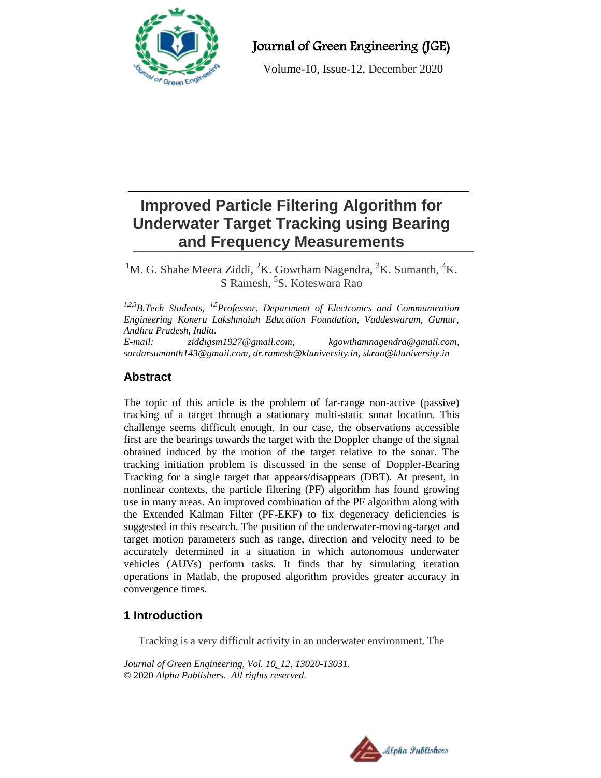

## Journal of Green Engineering (JGE)

Volume-10, Issue-12, December 2020

# **Improved Particle Filtering Algorithm for Underwater Target Tracking using Bearing and Frequency Measurements**

<sup>1</sup>M. G. Shahe Meera Ziddi, <sup>2</sup>K. Gowtham Nagendra, <sup>3</sup>K. Sumanth, <sup>4</sup>K. S Ramesh, <sup>5</sup>S. Koteswara Rao

*1,2,3B.Tech Students, 4,5Professor, Department of Electronics and Communication Engineering Koneru Lakshmaiah Education Foundation, Vaddeswaram, Guntur, Andhra Pradesh, India.*

*E-mail: [ziddigsm1927@gmail.com,](mailto:ziddigsm1927@gmail.com) [kgowthamnagendra@gmail.com,](mailto:kgowthamnagendra@gmail.com) [sardarsumanth143@gmail.com,](mailto:sardarsumanth143@gmail.com) [dr.ramesh@kluniversity.in,](mailto:dr.ramesh@kluniversity.in) [skrao@kluniversity.in](mailto:skrao@kluniversity.in)*

## **Abstract**

The topic of this article is the problem of far-range non-active (passive) tracking of a target through a stationary multi-static sonar location. This challenge seems difficult enough. In our case, the observations accessible first are the bearings towards the target with the Doppler change of the signal obtained induced by the motion of the target relative to the sonar. The tracking initiation problem is discussed in the sense of Doppler-Bearing Tracking for a single target that appears/disappears (DBT). At present, in nonlinear contexts, the particle filtering (PF) algorithm has found growing use in many areas. An improved combination of the PF algorithm along with the Extended Kalman Filter (PF-EKF) to fix degeneracy deficiencies is suggested in this research. The position of the underwater-moving-target and target motion parameters such as range, direction and velocity need to be accurately determined in a situation in which autonomous underwater vehicles (AUVs) perform tasks. It finds that by simulating iteration operations in Matlab, the proposed algorithm provides greater accuracy in convergence times.

## **1 Introduction**

Tracking is a very difficult activity in an underwater environment. The

*Journal of Green Engineering, Vol. 10\_12, 13020-13031.* © 2020 *Alpha Publishers. All rights reserved.*

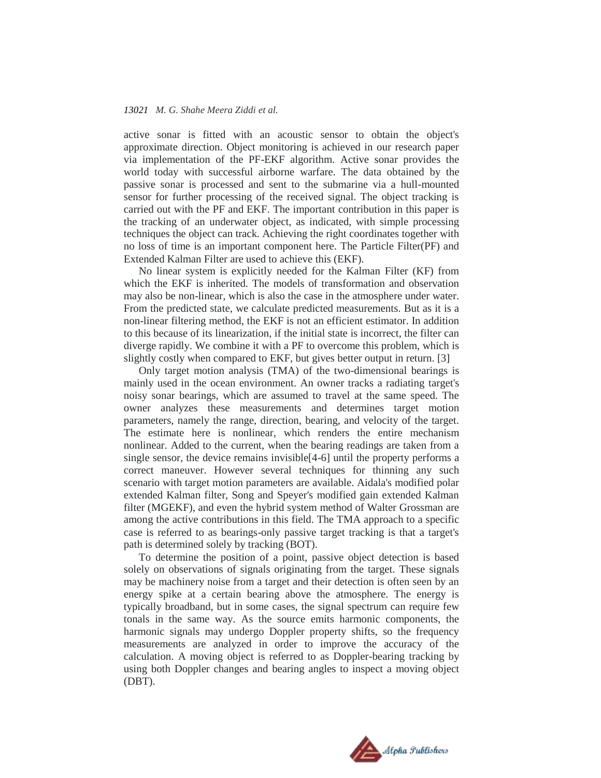active sonar is fitted with an acoustic sensor to obtain the object's approximate direction. Object monitoring is achieved in our research paper via implementation of the PF-EKF algorithm. Active sonar provides the world today with successful airborne warfare. The data obtained by the passive sonar is processed and sent to the submarine via a hull-mounted sensor for further processing of the received signal. The object tracking is carried out with the PF and EKF. The important contribution in this paper is the tracking of an underwater object, as indicated, with simple processing techniques the object can track. Achieving the right coordinates together with no loss of time is an important component here. The Particle Filter(PF) and Extended Kalman Filter are used to achieve this (EKF).

No linear system is explicitly needed for the Kalman Filter (KF) from which the EKF is inherited. The models of transformation and observation may also be non-linear, which is also the case in the atmosphere under water. From the predicted state, we calculate predicted measurements. But as it is a non-linear filtering method, the EKF is not an efficient estimator. In addition to this because of its linearization, if the initial state is incorrect, the filter can diverge rapidly. We combine it with a PF to overcome this problem, which is slightly costly when compared to EKF, but gives better output in return. [3]

Only target motion analysis (TMA) of the two-dimensional bearings is mainly used in the ocean environment. An owner tracks a radiating target's noisy sonar bearings, which are assumed to travel at the same speed. The owner analyzes these measurements and determines target motion parameters, namely the range, direction, bearing, and velocity of the target. The estimate here is nonlinear, which renders the entire mechanism nonlinear. Added to the current, when the bearing readings are taken from a single sensor, the device remains invisible[4-6] until the property performs a correct maneuver. However several techniques for thinning any such scenario with target motion parameters are available. Aidala's modified polar extended Kalman filter, Song and Speyer's modified gain extended Kalman filter (MGEKF), and even the hybrid system method of Walter Grossman are among the active contributions in this field. The TMA approach to a specific case is referred to as bearings-only passive target tracking is that a target's path is determined solely by tracking (BOT).

To determine the position of a point, passive object detection is based solely on observations of signals originating from the target. These signals may be machinery noise from a target and their detection is often seen by an energy spike at a certain bearing above the atmosphere. The energy is typically broadband, but in some cases, the signal spectrum can require few tonals in the same way. As the source emits harmonic components, the harmonic signals may undergo Doppler property shifts, so the frequency measurements are analyzed in order to improve the accuracy of the calculation. A moving object is referred to as Doppler-bearing tracking by using both Doppler changes and bearing angles to inspect a moving object (DBT).

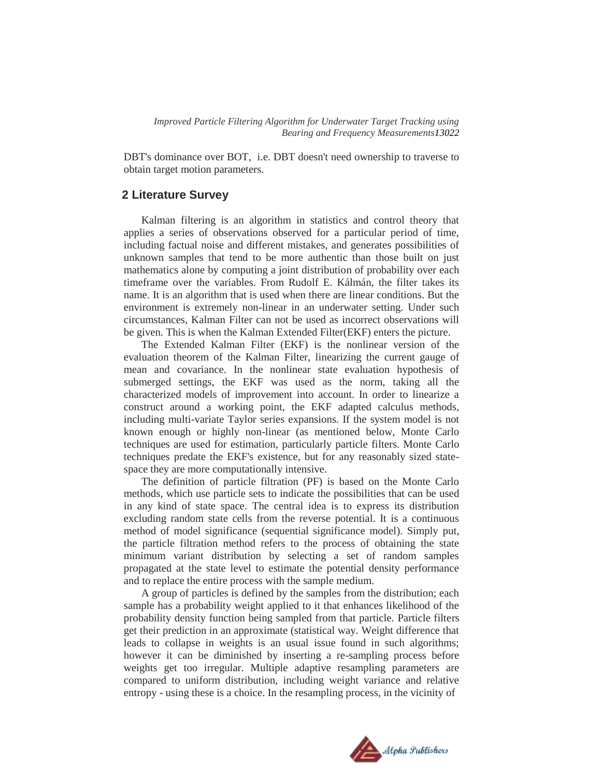*Improved Particle Filtering Algorithm for Underwater Target Tracking using Bearing and Frequency Measurements13022*

DBT's dominance over BOT, i.e. DBT doesn't need ownership to traverse to obtain target motion parameters.

#### **2 Literature Survey**

Kalman filtering is an algorithm in statistics and control theory that applies a series of observations observed for a particular period of time, including factual noise and different mistakes, and generates possibilities of unknown samples that tend to be more authentic than those built on just mathematics alone by computing a joint distribution of probability over each timeframe over the variables. From Rudolf E. Kálmán, the filter takes its name. It is an algorithm that is used when there are linear conditions. But the environment is extremely non-linear in an underwater setting. Under such circumstances, Kalman Filter can not be used as incorrect observations will be given. This is when the Kalman Extended Filter(EKF) enters the picture.

The Extended Kalman Filter (EKF) is the nonlinear version of the evaluation theorem of the Kalman Filter, linearizing the current gauge of mean and covariance. In the nonlinear state evaluation hypothesis of submerged settings, the EKF was used as the norm, taking all the characterized models of improvement into account. In order to linearize a construct around a working point, the EKF adapted calculus methods, including multi-variate Taylor series expansions. If the system model is not known enough or highly non-linear (as mentioned below, Monte Carlo techniques are used for estimation, particularly particle filters. Monte Carlo techniques predate the EKF's existence, but for any reasonably sized statespace they are more computationally intensive.

The definition of particle filtration (PF) is based on the Monte Carlo methods, which use particle sets to indicate the possibilities that can be used in any kind of state space. The central idea is to express its distribution excluding random state cells from the reverse potential. It is a continuous method of model significance (sequential significance model). Simply put, the particle filtration method refers to the process of obtaining the state minimum variant distribution by selecting a set of random samples propagated at the state level to estimate the potential density performance and to replace the entire process with the sample medium.

A group of particles is defined by the samples from the distribution; each sample has a probability weight applied to it that enhances likelihood of the probability density function being sampled from that particle. Particle filters get their prediction in an approximate (statistical way. Weight difference that leads to collapse in weights is an usual issue found in such algorithms; however it can be diminished by inserting a re-sampling process before weights get too irregular. Multiple adaptive resampling parameters are compared to uniform distribution, including weight variance and relative entropy - using these is a choice. In the resampling process, in the vicinity of

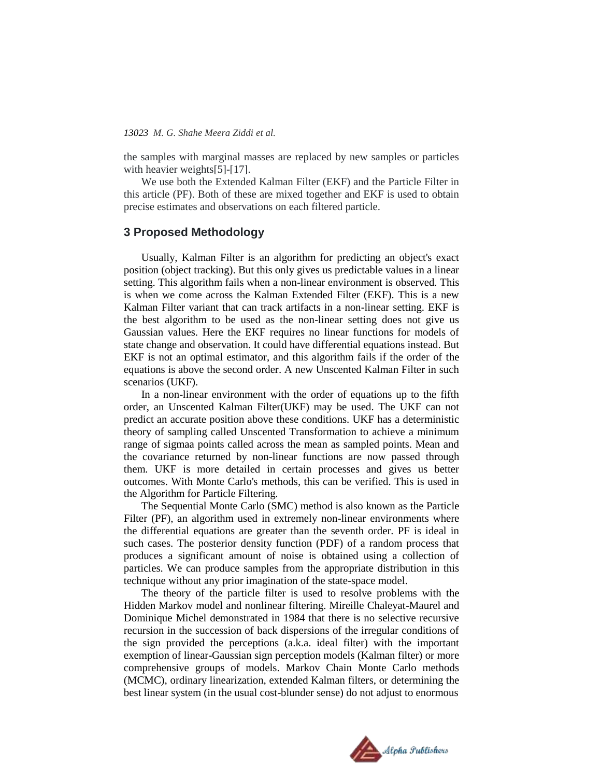the samples with marginal masses are replaced by new samples or particles with heavier weights[5]-[17].

We use both the Extended Kalman Filter (EKF) and the Particle Filter in this article (PF). Both of these are mixed together and EKF is used to obtain precise estimates and observations on each filtered particle.

#### **3 Proposed Methodology**

Usually, Kalman Filter is an algorithm for predicting an object's exact position (object tracking). But this only gives us predictable values in a linear setting. This algorithm fails when a non-linear environment is observed. This is when we come across the Kalman Extended Filter (EKF). This is a new Kalman Filter variant that can track artifacts in a non-linear setting. EKF is the best algorithm to be used as the non-linear setting does not give us Gaussian values. Here the EKF requires no linear functions for models of state change and observation. It could have differential equations instead. But EKF is not an optimal estimator, and this algorithm fails if the order of the equations is above the second order. A new Unscented Kalman Filter in such scenarios (UKF).

In a non-linear environment with the order of equations up to the fifth order, an Unscented Kalman Filter(UKF) may be used. The UKF can not predict an accurate position above these conditions. UKF has a deterministic theory of sampling called Unscented Transformation to achieve a minimum range of sigmaa points called across the mean as sampled points. Mean and the covariance returned by non-linear functions are now passed through them. UKF is more detailed in certain processes and gives us better outcomes. With Monte Carlo's methods, this can be verified. This is used in the Algorithm for Particle Filtering.

The Sequential Monte Carlo (SMC) method is also known as the Particle Filter (PF), an algorithm used in extremely non-linear environments where the differential equations are greater than the seventh order. PF is ideal in such cases. The posterior density function (PDF) of a random process that produces a significant amount of noise is obtained using a collection of particles. We can produce samples from the appropriate distribution in this technique without any prior imagination of the state-space model.

The theory of the particle filter is used to resolve problems with the Hidden Markov model and nonlinear filtering. Mireille Chaleyat-Maurel and Dominique Michel demonstrated in 1984 that there is no selective recursive recursion in the succession of back dispersions of the irregular conditions of the sign provided the perceptions (a.k.a. ideal filter) with the important exemption of linear-Gaussian sign perception models (Kalman filter) or more comprehensive groups of models. Markov Chain Monte Carlo methods (MCMC), ordinary linearization, extended Kalman filters, or determining the best linear system (in the usual cost-blunder sense) do not adjust to enormous

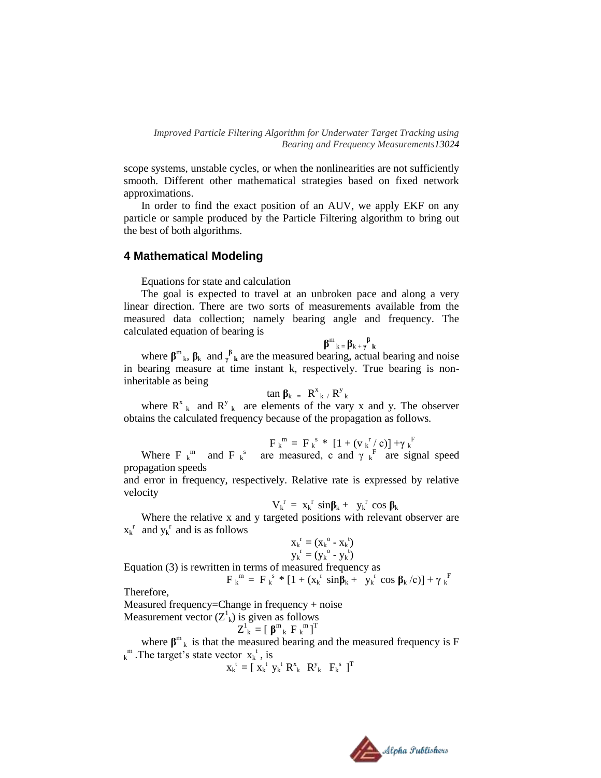scope systems, unstable cycles, or when the nonlinearities are not sufficiently smooth. Different other mathematical strategies based on fixed network approximations.

In order to find the exact position of an AUV, we apply EKF on any particle or sample produced by the Particle Filtering algorithm to bring out the best of both algorithms.

#### **4 Mathematical Modeling**

Equations for state and calculation

The goal is expected to travel at an unbroken pace and along a very linear direction. There are two sorts of measurements available from the measured data collection; namely bearing angle and frequency. The calculated equation of bearing is

**β**  $m_k = \beta_k + \gamma \beta_k$ 

where  $\beta^m$ <sub>k</sub>,  $\beta_k$  and  $\gamma^{\beta}$ <sub>k</sub> are the measured bearing, actual bearing and noise in bearing measure at time instant k, respectively. True bearing is noninheritable as being

$$
\tan \beta_k = R^x{}_k / R^y{}_k
$$

where  $R_{k}^{x}$  and  $R_{k}^{y}$  are elements of the vary x and y. The observer obtains the calculated frequency because of the propagation as follows.

$$
F_k^m = F_k^s * [1 + (v_k^r / c)] + \gamma_k^F
$$

Where F  $_k^m$  and F  $_k^s$  are measured, c and  $\gamma_k^F$  are signal speed propagation speeds

and error in frequency, respectively. Relative rate is expressed by relative velocity

$$
V_k^{\ r} = x_k^{\ r} \ \sin \beta_k + \ y_k^{\ r} \ \cos \beta_k
$$

Where the relative x and y targeted positions with relevant observer are  $x_k^r$  and  $y_k^r$  and is as follows

$$
x_k^r = (x_k^o - x_k^t) \n y_k^r = (y_k^o - y_k^t)
$$

$$
y_k^r = (y_k^o - y_k^t)
$$
  
Equation (3) is rewritten in terms of measured frequency as

 $F_k^m = F_k^s * [1 + (x_k^r \sin \hat{\beta}_k + y_k^r \cos \beta_k / c)] + \gamma_k^F$ 

Therefore,

Measured frequency=Change in frequency + noise

Measurement vector 
$$
(Z^1_k)
$$
 is given as follows

$$
Z_{k}^{1} = [\boldsymbol{\beta}^{m}_{k} \boldsymbol{F}_{k}^{m}]^{T}
$$

where  $\beta^{m}$ <sub>k</sub> is that the measured bearing and the measured frequency is F  $k^m$ . The target's state vector  $x_k^t$ , is

$$
\mathbf{x_k}^t = [\mathbf{x_k}^t \mathbf{y_k}^t \mathbf{R}_k^x \mathbf{R}_k^y \mathbf{F}_k^s \mathbf{I}_T^T
$$

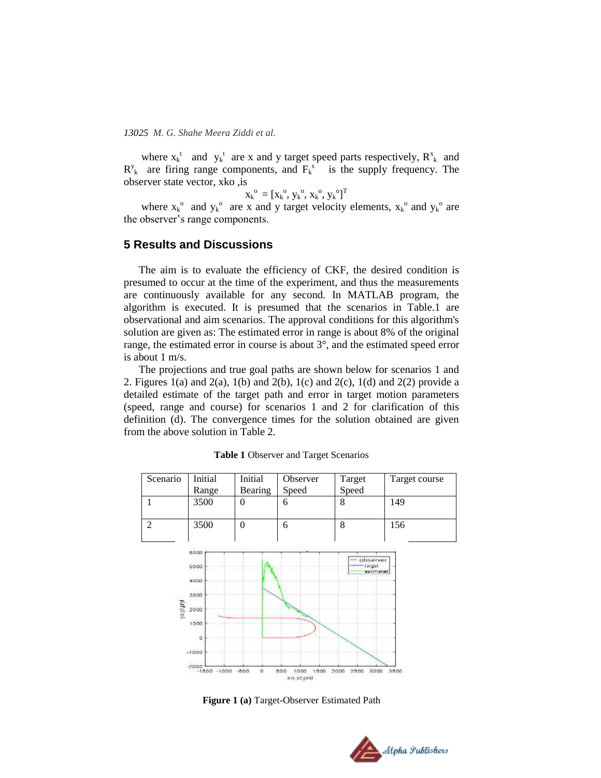where  $x_k^t$  and  $y_k^t$  are x and y target speed parts respectively,  $R_{k}^{x}$  and  $R_{k}^{y}$  are firing range components, and  $F_{k}^{s}$  is the supply frequency. The observer state vector, xko ,is

$$
\bm{\mathrm{x}_{k}}^{\mathrm{o}}=\left[\bm{\mathrm{x}_{k}}^{\mathrm{o}}, \bm{\mathrm{y}_{k}}^{\mathrm{o}}, \bm{\mathrm{x}_{k}}^{\mathrm{o}}, \bm{\mathrm{y}_{k}}^{\mathrm{o}}\right]^{\mathrm{T}}
$$

where  $x_k^{\circ}$  and  $y_k^{\circ}$  are x and y target velocity elements,  $x_k^{\circ}$  and  $y_k^{\circ}$  are the observer's range components.

#### **5 Results and Discussions**

The aim is to evaluate the efficiency of CKF, the desired condition is presumed to occur at the time of the experiment, and thus the measurements are continuously available for any second. In MATLAB program, the algorithm is executed. It is presumed that the scenarios in Table.1 are observational and aim scenarios. The approval conditions for this algorithm's solution are given as: The estimated error in range is about 8% of the original range, the estimated error in course is about 3°, and the estimated speed error is about 1 m/s.

The projections and true goal paths are shown below for scenarios 1 and 2. Figures 1(a) and 2(a), 1(b) and 2(b), 1(c) and 2(c), 1(d) and 2(2) provide a detailed estimate of the target path and error in target motion parameters (speed, range and course) for scenarios 1 and 2 for clarification of this definition (d). The convergence times for the solution obtained are given from the above solution in Table 2.



**Table 1** Observer and Target Scenarios

**Figure 1 (a)** Target-Observer Estimated Path

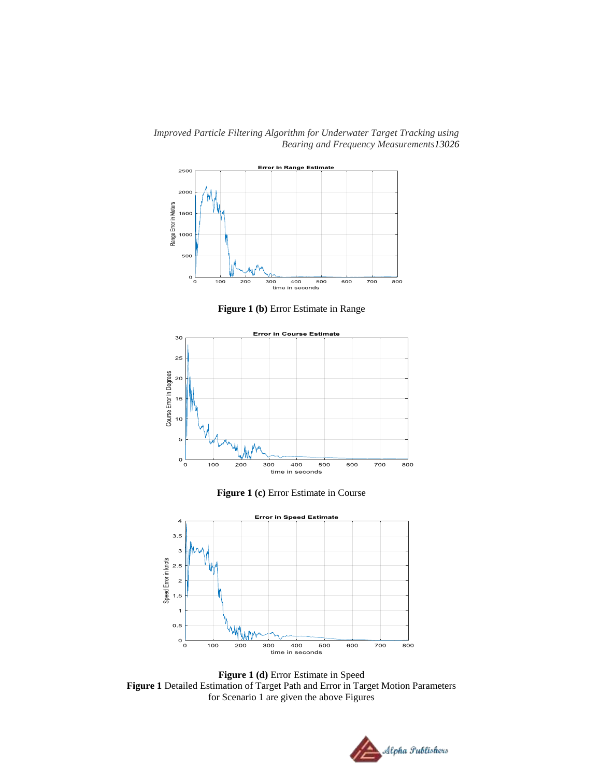*Improved Particle Filtering Algorithm for Underwater Target Tracking using Bearing and Frequency Measurements13026*



**Figure 1 (b)** Error Estimate in Range



**Figure 1 (c)** Error Estimate in Course



**Figure 1 (d)** Error Estimate in Speed **Figure 1** Detailed Estimation of Target Path and Error in Target Motion Parameters for Scenario 1 are given the above Figures

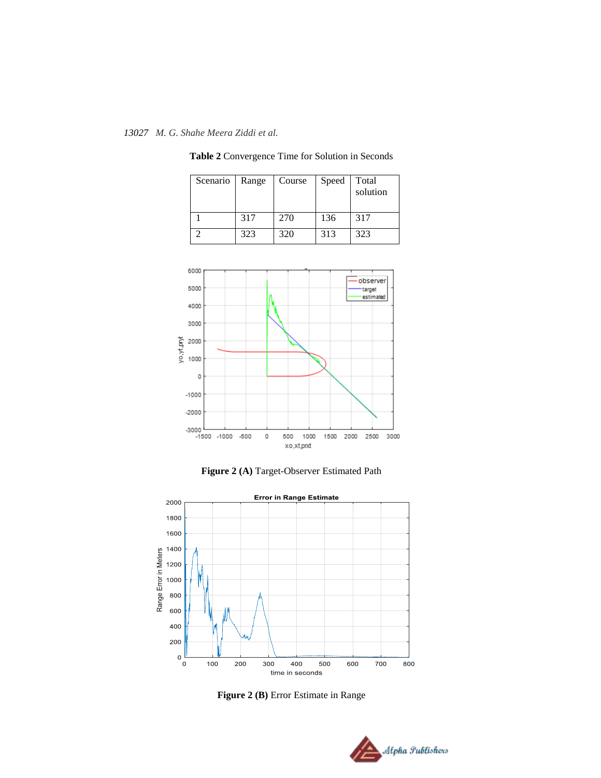| Scenario | Range | Course | Speed | Total<br>solution |
|----------|-------|--------|-------|-------------------|
|          | 317   | 270    | 136   | 317               |
|          | 323   | 320    | 313   | 323               |

**Table 2** Convergence Time for Solution in Seconds



**Figure 2 (A)** Target-Observer Estimated Path



**Figure 2 (B)** Error Estimate in Range

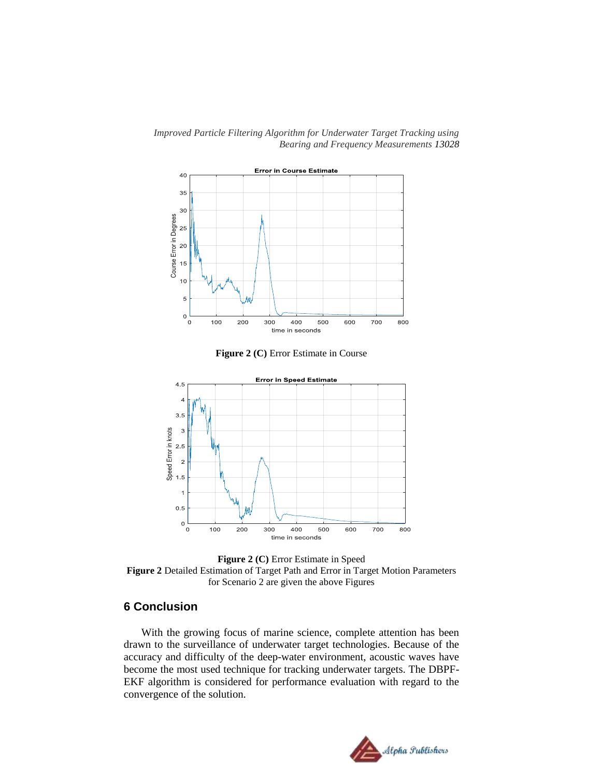*Improved Particle Filtering Algorithm for Underwater Target Tracking using Bearing and Frequency Measurements 13028*



**Figure 2 (C)** Error Estimate in Course



**Figure 2 (C)** Error Estimate in Speed **Figure 2** Detailed Estimation of Target Path and Error in Target Motion Parameters for Scenario 2 are given the above Figures

### **6 Conclusion**

With the growing focus of marine science, complete attention has been drawn to the surveillance of underwater target technologies. Because of the accuracy and difficulty of the deep-water environment, acoustic waves have become the most used technique for tracking underwater targets. The DBPF-EKF algorithm is considered for performance evaluation with regard to the convergence of the solution.

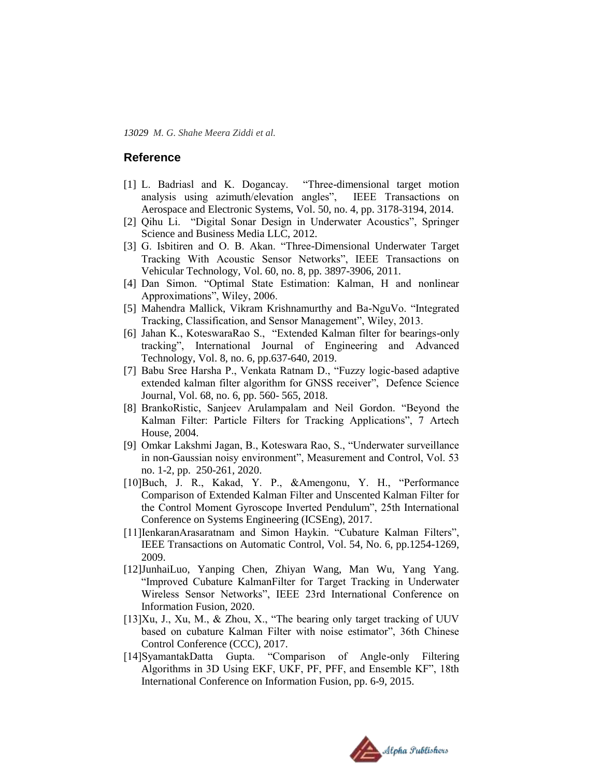#### **Reference**

- [1] L. Badriasl and K. Dogancay. "Three-dimensional target motion analysis using azimuth/elevation angles", IEEE Transactions on Aerospace and Electronic Systems, Vol. 50, no. 4, pp. 3178-3194, 2014.
- [2] Qihu Li. "Digital Sonar Design in Underwater Acoustics", Springer Science and Business Media LLC, 2012.
- [3] G. Isbitiren and O. B. Akan. "Three-Dimensional Underwater Target Tracking With Acoustic Sensor Networks", IEEE Transactions on Vehicular Technology, Vol. 60, no. 8, pp. 3897-3906, 2011.
- [4] Dan Simon. "Optimal State Estimation: Kalman, H and nonlinear Approximations", Wiley, 2006.
- [5] Mahendra Mallick, Vikram Krishnamurthy and Ba-NguVo. "Integrated Tracking, Classification, and Sensor Management", Wiley, 2013.
- [6] Jahan K., KoteswaraRao S., "Extended Kalman filter for bearings-only tracking", International Journal of Engineering and Advanced Technology, Vol. 8, no. 6, pp.637-640, 2019.
- [7] Babu Sree Harsha P., Venkata Ratnam D., "Fuzzy logic-based adaptive extended kalman filter algorithm for GNSS receiver", Defence Science Journal, Vol. 68, no. 6, pp. 560- 565, 2018.
- [8] BrankoRistic, Sanjeev Arulampalam and Neil Gordon. "Beyond the Kalman Filter: Particle Filters for Tracking Applications", 7 Artech House, 2004.
- [9] Omkar Lakshmi Jagan, B., Koteswara Rao, S., "Underwater surveillance in non-Gaussian noisy environment", Measurement and Control, Vol. 53 no. 1-2, pp. 250-261, 2020.
- [10]Buch, J. R., Kakad, Y. P., &Amengonu, Y. H., "Performance Comparison of Extended Kalman Filter and Unscented Kalman Filter for the Control Moment Gyroscope Inverted Pendulum", 25th International Conference on Systems Engineering (ICSEng), 2017.
- [11]IenkaranArasaratnam and Simon Haykin. "Cubature Kalman Filters", IEEE Transactions on Automatic Control, Vol. 54, No. 6, pp.1254-1269, 2009.
- [12]JunhaiLuo, Yanping Chen, Zhiyan Wang, Man Wu, Yang Yang. "Improved Cubature KalmanFilter for Target Tracking in Underwater Wireless Sensor Networks", IEEE 23rd International Conference on Information Fusion, 2020.
- [13]Xu, J., Xu, M., & Zhou, X., "The bearing only target tracking of UUV based on cubature Kalman Filter with noise estimator", 36th Chinese Control Conference (CCC), 2017.
- [14]SyamantakDatta Gupta. "Comparison of Angle-only Filtering Algorithms in 3D Using EKF, UKF, PF, PFF, and Ensemble KF", 18th International Conference on Information Fusion, pp. 6-9, 2015.

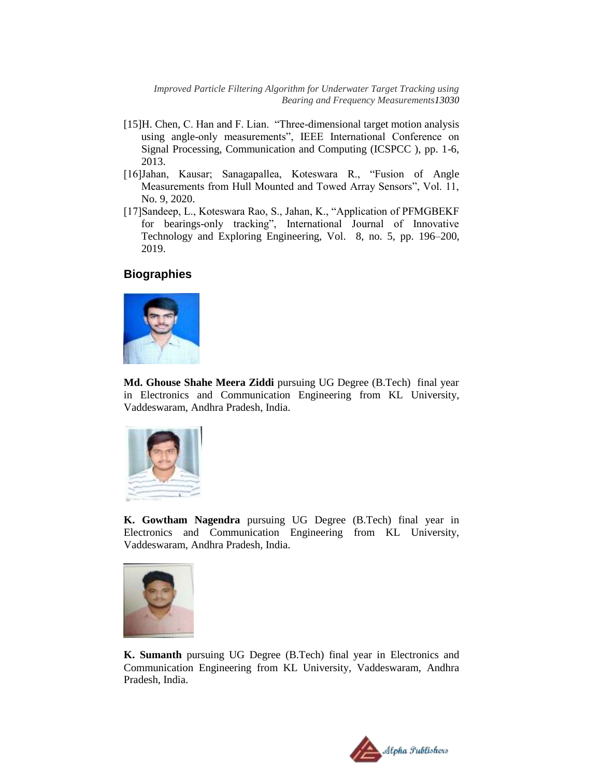*Improved Particle Filtering Algorithm for Underwater Target Tracking using Bearing and Frequency Measurements13030*

- [15]H. Chen, C. Han and F. Lian. "Three-dimensional target motion analysis using angle-only measurements", IEEE International Conference on Signal Processing, Communication and Computing (ICSPCC ), pp. 1-6, 2013.
- [16]Jahan, Kausar; Sanagapallea, Koteswara R., "Fusion of Angle Measurements from Hull Mounted and Towed Array Sensors", Vol. 11, No. 9, 2020.
- [17]Sandeep, L., Koteswara Rao, S., Jahan, K., "Application of PFMGBEKF for bearings-only tracking", International Journal of Innovative Technology and Exploring Engineering, Vol. 8, no. 5, pp. 196–200, 2019.

#### **Biographies**



**Md. Ghouse Shahe Meera Ziddi** pursuing UG Degree (B.Tech) final year in Electronics and Communication Engineering from KL University, Vaddeswaram, Andhra Pradesh, India.



**K. Gowtham Nagendra** pursuing UG Degree (B.Tech) final year in Electronics and Communication Engineering from KL University, Vaddeswaram, Andhra Pradesh, India.



**K. Sumanth** pursuing UG Degree (B.Tech) final year in Electronics and Communication Engineering from KL University, Vaddeswaram, Andhra Pradesh, India.